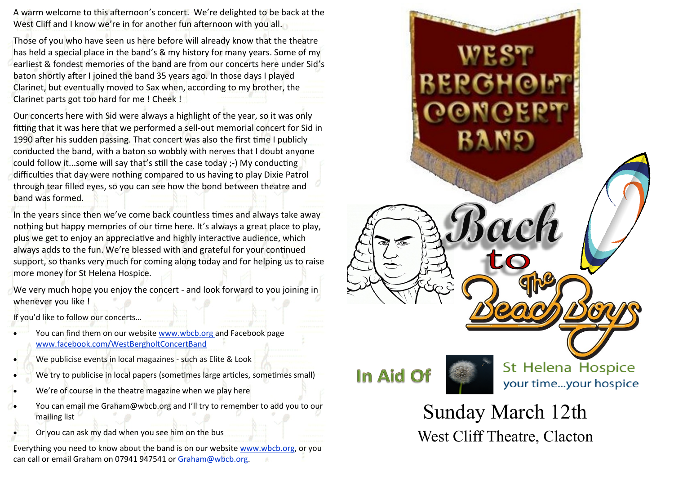A warm welcome to this afternoon's concert. We're delighted to be back at the West Cliff and I know we're in for another fun afternoon with you all.

Those of you who have seen us here before will already know that the theatre has held a special place in the band's & my history for many years. Some of my earliest & fondest memories of the band are from our concerts here under Sid's baton shortly after I joined the band 35 years ago. In those days I played Clarinet, but eventually moved to Sax when, according to my brother, the Clarinet parts got too hard for me ! Cheek !

Our concerts here with Sid were always a highlight of the year, so it was only fitting that it was here that we performed a sell-out memorial concert for Sid in 1990 after his sudden passing. That concert was also the first time I publicly conducted the band, with a baton so wobbly with nerves that I doubt anyone could follow it...some will say that's still the case today ;-) My conducting difficulties that day were nothing compared to us having to play Dixie Patrol through tear filled eyes, so you can see how the bond between theatre and band was formed.

In the years since then we've come back countless times and always take away nothing but happy memories of our time here. It's always a great place to play, plus we get to enjoy an appreciative and highly interactive audience, which always adds to the fun. We're blessed with and grateful for your continued support, so thanks very much for coming along today and for helping us to raise more money for St Helena Hospice.

We very much hope you enjoy the concert - and look forward to you joining in whenever you like !

If you'd like to follow our concerts…

- You can find them on our website www.wbcb.org and Facebook page www.facebook.com/WestBergholtConcertBand
- We publicise events in local magazines such as Elite & Look
- We try to publicise in local papers (sometimes large articles, sometimes small)
- We're of course in the theatre magazine when we play here
- You can email me Graham@wbcb.org and I'll try to remember to add you to our mailing list
- Or you can ask my dad when you see him on the bus

Everything you need to know about the band is on our website www.wbcb.org, or you can call or email Graham on 07941 947541 or Graham@wbcb.org.



West Cliff Theatre, Clacton